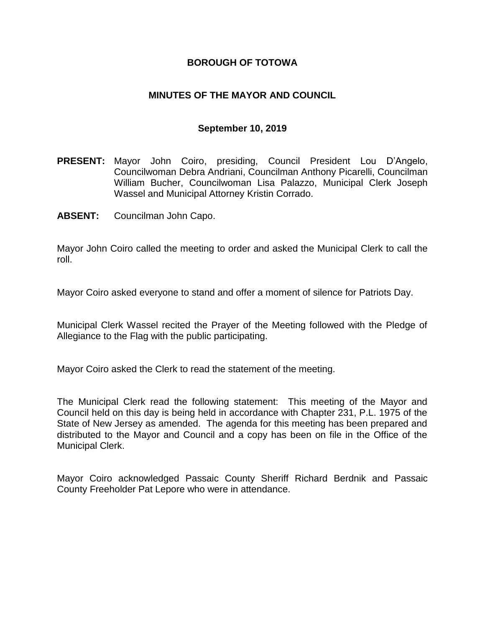## **BOROUGH OF TOTOWA**

## **MINUTES OF THE MAYOR AND COUNCIL**

#### **September 10, 2019**

- **PRESENT:** Mayor John Coiro, presiding, Council President Lou D'Angelo, Councilwoman Debra Andriani, Councilman Anthony Picarelli, Councilman William Bucher, Councilwoman Lisa Palazzo, Municipal Clerk Joseph Wassel and Municipal Attorney Kristin Corrado.
- **ABSENT:** Councilman John Capo.

Mayor John Coiro called the meeting to order and asked the Municipal Clerk to call the roll.

Mayor Coiro asked everyone to stand and offer a moment of silence for Patriots Day.

Municipal Clerk Wassel recited the Prayer of the Meeting followed with the Pledge of Allegiance to the Flag with the public participating.

Mayor Coiro asked the Clerk to read the statement of the meeting.

The Municipal Clerk read the following statement: This meeting of the Mayor and Council held on this day is being held in accordance with Chapter 231, P.L. 1975 of the State of New Jersey as amended. The agenda for this meeting has been prepared and distributed to the Mayor and Council and a copy has been on file in the Office of the Municipal Clerk.

Mayor Coiro acknowledged Passaic County Sheriff Richard Berdnik and Passaic County Freeholder Pat Lepore who were in attendance.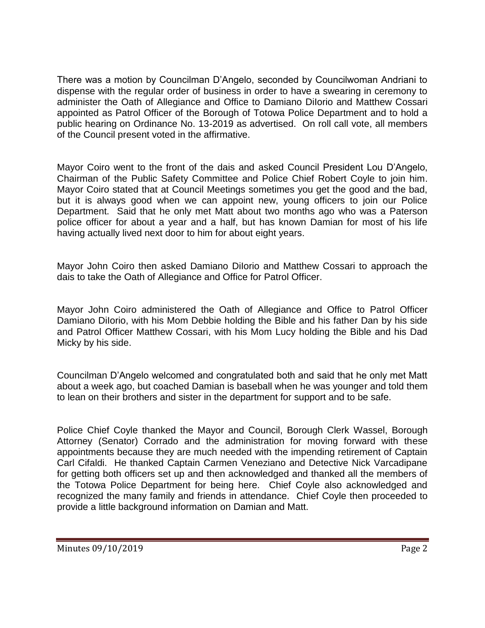There was a motion by Councilman D'Angelo, seconded by Councilwoman Andriani to dispense with the regular order of business in order to have a swearing in ceremony to administer the Oath of Allegiance and Office to Damiano DiIorio and Matthew Cossari appointed as Patrol Officer of the Borough of Totowa Police Department and to hold a public hearing on Ordinance No. 13-2019 as advertised. On roll call vote, all members of the Council present voted in the affirmative.

Mayor Coiro went to the front of the dais and asked Council President Lou D'Angelo, Chairman of the Public Safety Committee and Police Chief Robert Coyle to join him. Mayor Coiro stated that at Council Meetings sometimes you get the good and the bad, but it is always good when we can appoint new, young officers to join our Police Department. Said that he only met Matt about two months ago who was a Paterson police officer for about a year and a half, but has known Damian for most of his life having actually lived next door to him for about eight years.

Mayor John Coiro then asked Damiano DiIorio and Matthew Cossari to approach the dais to take the Oath of Allegiance and Office for Patrol Officer.

Mayor John Coiro administered the Oath of Allegiance and Office to Patrol Officer Damiano DiIorio, with his Mom Debbie holding the Bible and his father Dan by his side and Patrol Officer Matthew Cossari, with his Mom Lucy holding the Bible and his Dad Micky by his side.

Councilman D'Angelo welcomed and congratulated both and said that he only met Matt about a week ago, but coached Damian is baseball when he was younger and told them to lean on their brothers and sister in the department for support and to be safe.

Police Chief Coyle thanked the Mayor and Council, Borough Clerk Wassel, Borough Attorney (Senator) Corrado and the administration for moving forward with these appointments because they are much needed with the impending retirement of Captain Carl Cifaldi. He thanked Captain Carmen Veneziano and Detective Nick Varcadipane for getting both officers set up and then acknowledged and thanked all the members of the Totowa Police Department for being here. Chief Coyle also acknowledged and recognized the many family and friends in attendance. Chief Coyle then proceeded to provide a little background information on Damian and Matt.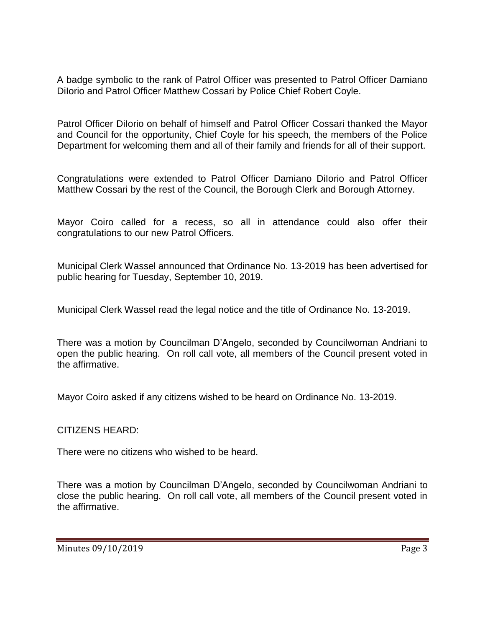A badge symbolic to the rank of Patrol Officer was presented to Patrol Officer Damiano Dilorio and Patrol Officer Matthew Cossari by Police Chief Robert Coyle.

Patrol Officer DiIorio on behalf of himself and Patrol Officer Cossari thanked the Mayor and Council for the opportunity, Chief Coyle for his speech, the members of the Police Department for welcoming them and all of their family and friends for all of their support.

Congratulations were extended to Patrol Officer Damiano DiIorio and Patrol Officer Matthew Cossari by the rest of the Council, the Borough Clerk and Borough Attorney.

Mayor Coiro called for a recess, so all in attendance could also offer their congratulations to our new Patrol Officers.

Municipal Clerk Wassel announced that Ordinance No. 13-2019 has been advertised for public hearing for Tuesday, September 10, 2019.

Municipal Clerk Wassel read the legal notice and the title of Ordinance No. 13-2019.

There was a motion by Councilman D'Angelo, seconded by Councilwoman Andriani to open the public hearing. On roll call vote, all members of the Council present voted in the affirmative.

Mayor Coiro asked if any citizens wished to be heard on Ordinance No. 13-2019.

CITIZENS HEARD:

There were no citizens who wished to be heard.

There was a motion by Councilman D'Angelo, seconded by Councilwoman Andriani to close the public hearing. On roll call vote, all members of the Council present voted in the affirmative.

Minutes 09/10/2019 **Page 3**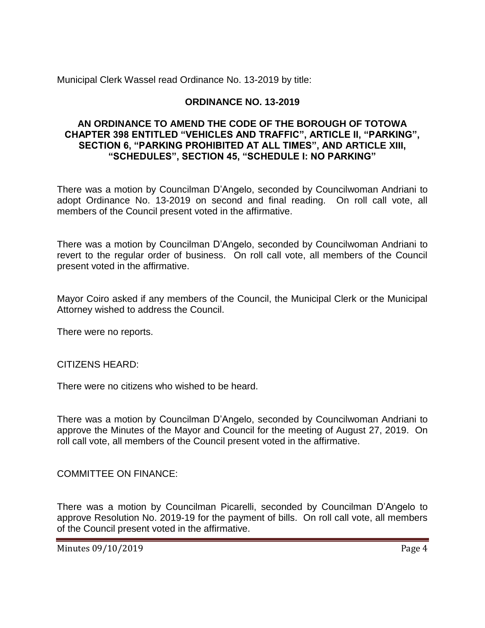Municipal Clerk Wassel read Ordinance No. 13-2019 by title:

# **ORDINANCE NO. 13-2019**

## **AN ORDINANCE TO AMEND THE CODE OF THE BOROUGH OF TOTOWA CHAPTER 398 ENTITLED "VEHICLES AND TRAFFIC", ARTICLE II, "PARKING", SECTION 6, "PARKING PROHIBITED AT ALL TIMES", AND ARTICLE XIII, "SCHEDULES", SECTION 45, "SCHEDULE I: NO PARKING"**

There was a motion by Councilman D'Angelo, seconded by Councilwoman Andriani to adopt Ordinance No. 13-2019 on second and final reading. On roll call vote, all members of the Council present voted in the affirmative.

There was a motion by Councilman D'Angelo, seconded by Councilwoman Andriani to revert to the regular order of business. On roll call vote, all members of the Council present voted in the affirmative.

Mayor Coiro asked if any members of the Council, the Municipal Clerk or the Municipal Attorney wished to address the Council.

There were no reports.

CITIZENS HEARD:

There were no citizens who wished to be heard.

There was a motion by Councilman D'Angelo, seconded by Councilwoman Andriani to approve the Minutes of the Mayor and Council for the meeting of August 27, 2019. On roll call vote, all members of the Council present voted in the affirmative.

COMMITTEE ON FINANCE:

There was a motion by Councilman Picarelli, seconded by Councilman D'Angelo to approve Resolution No. 2019-19 for the payment of bills. On roll call vote, all members of the Council present voted in the affirmative.

Minutes 09/10/2019 Page 4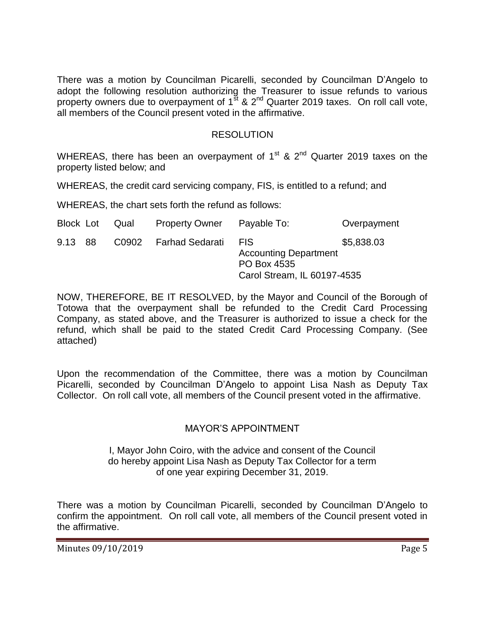There was a motion by Councilman Picarelli, seconded by Councilman D'Angelo to adopt the following resolution authorizing the Treasurer to issue refunds to various property owners due to overpayment of 1<sup>st</sup> & 2<sup>nd</sup> Quarter 2019 taxes. On roll call vote, all members of the Council present voted in the affirmative.

### RESOLUTION

WHEREAS, there has been an overpayment of  $1<sup>st</sup>$  &  $2<sup>nd</sup>$  Quarter 2019 taxes on the property listed below; and

WHEREAS, the credit card servicing company, FIS, is entitled to a refund; and

WHEREAS, the chart sets forth the refund as follows:

| Block Lot | Qual | <b>Property Owner</b> | Payable To:                                                                              | Overpayment |
|-----------|------|-----------------------|------------------------------------------------------------------------------------------|-------------|
| 9.13 88   |      | C0902 Farhad Sedarati | <b>FIS</b><br><b>Accounting Department</b><br>PO Box 4535<br>Carol Stream, IL 60197-4535 | \$5,838.03  |

NOW, THEREFORE, BE IT RESOLVED, by the Mayor and Council of the Borough of Totowa that the overpayment shall be refunded to the Credit Card Processing Company, as stated above, and the Treasurer is authorized to issue a check for the refund, which shall be paid to the stated Credit Card Processing Company. (See attached)

Upon the recommendation of the Committee, there was a motion by Councilman Picarelli, seconded by Councilman D'Angelo to appoint Lisa Nash as Deputy Tax Collector. On roll call vote, all members of the Council present voted in the affirmative.

## MAYOR'S APPOINTMENT

I, Mayor John Coiro, with the advice and consent of the Council do hereby appoint Lisa Nash as Deputy Tax Collector for a term of one year expiring December 31, 2019.

There was a motion by Councilman Picarelli, seconded by Councilman D'Angelo to confirm the appointment. On roll call vote, all members of the Council present voted in the affirmative.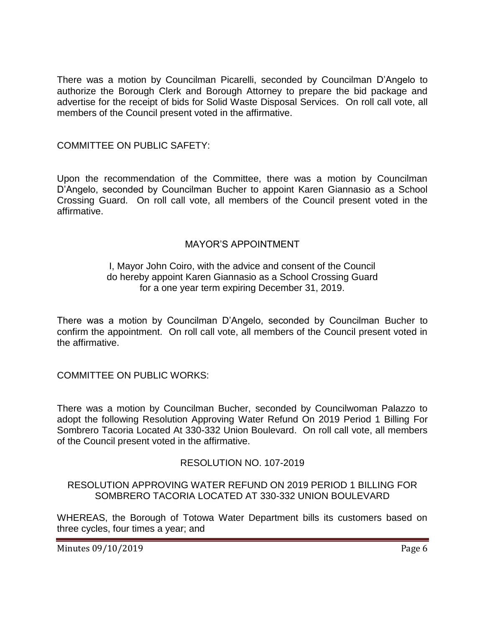There was a motion by Councilman Picarelli, seconded by Councilman D'Angelo to authorize the Borough Clerk and Borough Attorney to prepare the bid package and advertise for the receipt of bids for Solid Waste Disposal Services. On roll call vote, all members of the Council present voted in the affirmative.

## COMMITTEE ON PUBLIC SAFETY:

Upon the recommendation of the Committee, there was a motion by Councilman D'Angelo, seconded by Councilman Bucher to appoint Karen Giannasio as a School Crossing Guard. On roll call vote, all members of the Council present voted in the affirmative.

#### MAYOR'S APPOINTMENT

### I, Mayor John Coiro, with the advice and consent of the Council do hereby appoint Karen Giannasio as a School Crossing Guard for a one year term expiring December 31, 2019.

There was a motion by Councilman D'Angelo, seconded by Councilman Bucher to confirm the appointment. On roll call vote, all members of the Council present voted in the affirmative.

COMMITTEE ON PUBLIC WORKS:

There was a motion by Councilman Bucher, seconded by Councilwoman Palazzo to adopt the following Resolution Approving Water Refund On 2019 Period 1 Billing For Sombrero Tacoria Located At 330-332 Union Boulevard. On roll call vote, all members of the Council present voted in the affirmative.

## RESOLUTION NO. 107-2019

#### RESOLUTION APPROVING WATER REFUND ON 2019 PERIOD 1 BILLING FOR SOMBRERO TACORIA LOCATED AT 330-332 UNION BOULEVARD

WHEREAS, the Borough of Totowa Water Department bills its customers based on three cycles, four times a year; and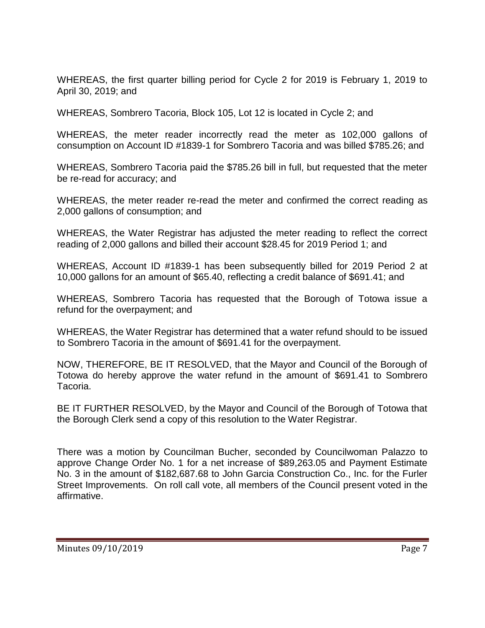WHEREAS, the first quarter billing period for Cycle 2 for 2019 is February 1, 2019 to April 30, 2019; and

WHEREAS, Sombrero Tacoria, Block 105, Lot 12 is located in Cycle 2; and

WHEREAS, the meter reader incorrectly read the meter as 102,000 gallons of consumption on Account ID #1839-1 for Sombrero Tacoria and was billed \$785.26; and

WHEREAS, Sombrero Tacoria paid the \$785.26 bill in full, but requested that the meter be re-read for accuracy; and

WHEREAS, the meter reader re-read the meter and confirmed the correct reading as 2,000 gallons of consumption; and

WHEREAS, the Water Registrar has adjusted the meter reading to reflect the correct reading of 2,000 gallons and billed their account \$28.45 for 2019 Period 1; and

WHEREAS, Account ID #1839-1 has been subsequently billed for 2019 Period 2 at 10,000 gallons for an amount of \$65.40, reflecting a credit balance of \$691.41; and

WHEREAS, Sombrero Tacoria has requested that the Borough of Totowa issue a refund for the overpayment; and

WHEREAS, the Water Registrar has determined that a water refund should to be issued to Sombrero Tacoria in the amount of \$691.41 for the overpayment.

NOW, THEREFORE, BE IT RESOLVED, that the Mayor and Council of the Borough of Totowa do hereby approve the water refund in the amount of \$691.41 to Sombrero Tacoria.

BE IT FURTHER RESOLVED, by the Mayor and Council of the Borough of Totowa that the Borough Clerk send a copy of this resolution to the Water Registrar.

There was a motion by Councilman Bucher, seconded by Councilwoman Palazzo to approve Change Order No. 1 for a net increase of \$89,263.05 and Payment Estimate No. 3 in the amount of \$182,687.68 to John Garcia Construction Co., Inc. for the Furler Street Improvements. On roll call vote, all members of the Council present voted in the affirmative.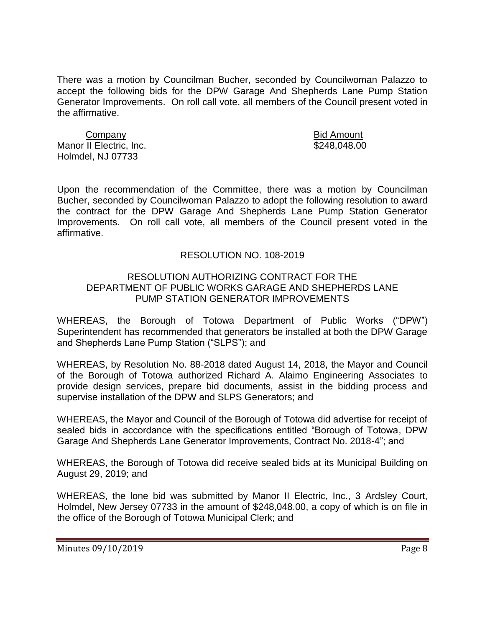There was a motion by Councilman Bucher, seconded by Councilwoman Palazzo to accept the following bids for the DPW Garage And Shepherds Lane Pump Station Generator Improvements. On roll call vote, all members of the Council present voted in the affirmative.

Company Bid Amount Manor II Electric, Inc. 6248.048.00 Holmdel, NJ 07733

Upon the recommendation of the Committee, there was a motion by Councilman Bucher, seconded by Councilwoman Palazzo to adopt the following resolution to award the contract for the DPW Garage And Shepherds Lane Pump Station Generator Improvements. On roll call vote, all members of the Council present voted in the affirmative.

#### RESOLUTION NO. 108-2019

#### RESOLUTION AUTHORIZING CONTRACT FOR THE DEPARTMENT OF PUBLIC WORKS GARAGE AND SHEPHERDS LANE PUMP STATION GENERATOR IMPROVEMENTS

WHEREAS, the Borough of Totowa Department of Public Works ("DPW") Superintendent has recommended that generators be installed at both the DPW Garage and Shepherds Lane Pump Station ("SLPS"); and

WHEREAS, by Resolution No. 88-2018 dated August 14, 2018, the Mayor and Council of the Borough of Totowa authorized Richard A. Alaimo Engineering Associates to provide design services, prepare bid documents, assist in the bidding process and supervise installation of the DPW and SLPS Generators; and

WHEREAS, the Mayor and Council of the Borough of Totowa did advertise for receipt of sealed bids in accordance with the specifications entitled "Borough of Totowa, DPW Garage And Shepherds Lane Generator Improvements, Contract No. 2018-4"; and

WHEREAS, the Borough of Totowa did receive sealed bids at its Municipal Building on August 29, 2019; and

WHEREAS, the lone bid was submitted by Manor II Electric, Inc., 3 Ardsley Court, Holmdel, New Jersey 07733 in the amount of \$248,048.00, a copy of which is on file in the office of the Borough of Totowa Municipal Clerk; and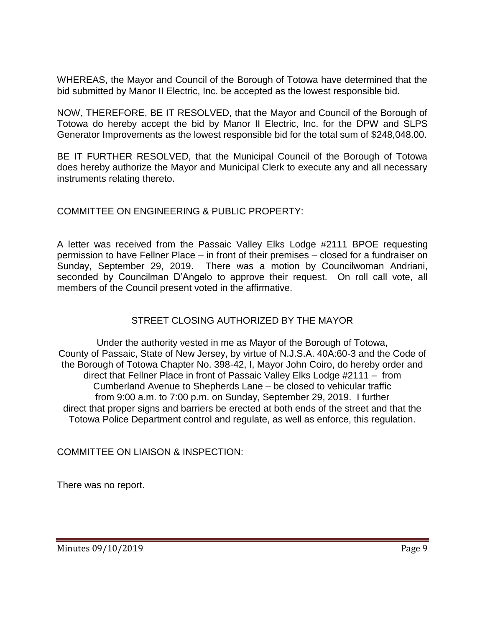WHEREAS, the Mayor and Council of the Borough of Totowa have determined that the bid submitted by Manor II Electric, Inc. be accepted as the lowest responsible bid.

NOW, THEREFORE, BE IT RESOLVED, that the Mayor and Council of the Borough of Totowa do hereby accept the bid by Manor II Electric, Inc. for the DPW and SLPS Generator Improvements as the lowest responsible bid for the total sum of \$248,048.00.

BE IT FURTHER RESOLVED, that the Municipal Council of the Borough of Totowa does hereby authorize the Mayor and Municipal Clerk to execute any and all necessary instruments relating thereto.

## COMMITTEE ON ENGINEERING & PUBLIC PROPERTY:

A letter was received from the Passaic Valley Elks Lodge #2111 BPOE requesting permission to have Fellner Place – in front of their premises – closed for a fundraiser on Sunday, September 29, 2019. There was a motion by Councilwoman Andriani, seconded by Councilman D'Angelo to approve their request. On roll call vote, all members of the Council present voted in the affirmative.

## STREET CLOSING AUTHORIZED BY THE MAYOR

Under the authority vested in me as Mayor of the Borough of Totowa, County of Passaic, State of New Jersey, by virtue of N.J.S.A. 40A:60-3 and the Code of the Borough of Totowa Chapter No. 398-42, I, Mayor John Coiro, do hereby order and direct that Fellner Place in front of Passaic Valley Elks Lodge #2111 – from Cumberland Avenue to Shepherds Lane – be closed to vehicular traffic from 9:00 a.m. to 7:00 p.m. on Sunday, September 29, 2019. I further direct that proper signs and barriers be erected at both ends of the street and that the Totowa Police Department control and regulate, as well as enforce, this regulation.

COMMITTEE ON LIAISON & INSPECTION:

There was no report.